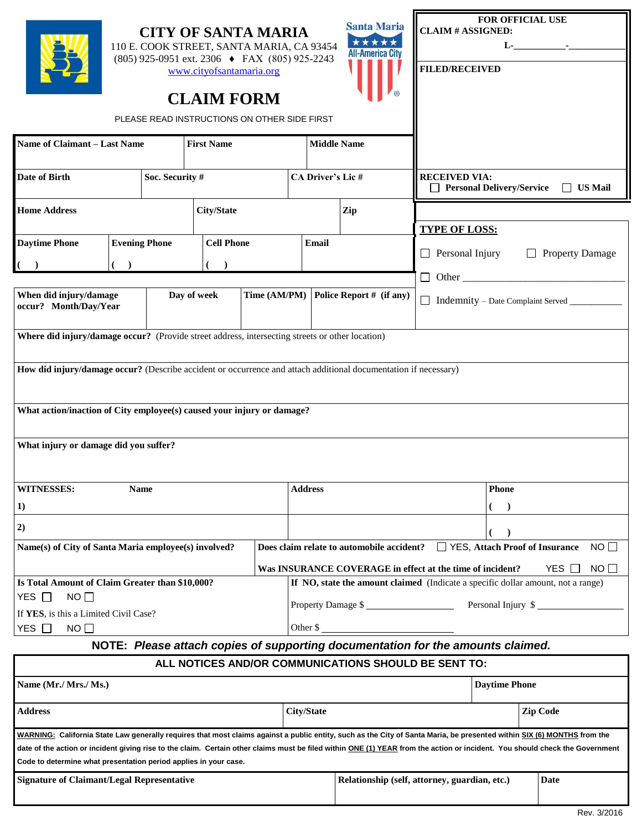| <b>Santa Maria</b><br><b>CITY OF SANTA MARIA</b><br>*****<br>110 E. COOK STREET, SANTA MARIA, CA 93454<br><b>All-America City</b><br>(805) 925-0951 ext. 2306 → FAX (805) 925-2243<br>www.cityofsantamaria.org<br><b>CLAIM FORM</b><br>PLEASE READ INSTRUCTIONS ON OTHER SIDE FIRST<br><b>First Name</b><br>Name of Claimant - Last Name<br><b>Middle Name</b>                                                              |                      |  |                   |  |                                                                                     |     | <b>CLAIM # ASSIGNED:</b><br><b>FILED/RECEIVED</b>         | FOR OFFICIAL USE                                                           | $\mathbf{L}$ . The set of $\mathbf{L}$ is the set of $\mathbf{L}$ |  |
|-----------------------------------------------------------------------------------------------------------------------------------------------------------------------------------------------------------------------------------------------------------------------------------------------------------------------------------------------------------------------------------------------------------------------------|----------------------|--|-------------------|--|-------------------------------------------------------------------------------------|-----|-----------------------------------------------------------|----------------------------------------------------------------------------|-------------------------------------------------------------------|--|
| Soc. Security #<br>Date of Birth                                                                                                                                                                                                                                                                                                                                                                                            |                      |  |                   |  | <b>CA Driver's Lic#</b>                                                             |     |                                                           | <b>RECEIVED VIA:</b><br><b>Personal Delivery/Service</b><br>$\Box$ US Mail |                                                                   |  |
| <b>Home Address</b>                                                                                                                                                                                                                                                                                                                                                                                                         |                      |  | <b>City/State</b> |  |                                                                                     | Zip | <b>TYPE OF LOSS:</b>                                      |                                                                            |                                                                   |  |
| <b>Daytime Phone</b>                                                                                                                                                                                                                                                                                                                                                                                                        | <b>Evening Phone</b> |  | <b>Cell Phone</b> |  | <b>Email</b>                                                                        |     |                                                           | $\Box$ Personal Injury<br>$\Box$ Property Damage                           |                                                                   |  |
|                                                                                                                                                                                                                                                                                                                                                                                                                             | $($ )                |  |                   |  |                                                                                     |     |                                                           |                                                                            |                                                                   |  |
| When did injury/damage<br>Day of week<br>Time (AM/PM)<br>occur? Month/Day/Year                                                                                                                                                                                                                                                                                                                                              |                      |  |                   |  | Police Report # (if any)                                                            |     |                                                           | Indemnity – Date Complaint Served ___________                              |                                                                   |  |
| Where did injury/damage occur? (Provide street address, intersecting streets or other location)                                                                                                                                                                                                                                                                                                                             |                      |  |                   |  |                                                                                     |     |                                                           |                                                                            |                                                                   |  |
| What action/inaction of City employee(s) caused your injury or damage?<br>What injury or damage did you suffer?                                                                                                                                                                                                                                                                                                             |                      |  |                   |  |                                                                                     |     |                                                           |                                                                            |                                                                   |  |
| <b>WITNESSES:</b>                                                                                                                                                                                                                                                                                                                                                                                                           | <b>Name</b>          |  |                   |  | <b>Address</b>                                                                      |     |                                                           | <b>Phone</b>                                                               |                                                                   |  |
| 1)                                                                                                                                                                                                                                                                                                                                                                                                                          |                      |  |                   |  |                                                                                     |     |                                                           |                                                                            |                                                                   |  |
| 2)                                                                                                                                                                                                                                                                                                                                                                                                                          |                      |  |                   |  |                                                                                     |     |                                                           |                                                                            |                                                                   |  |
| Name(s) of City of Santa Maria employee(s) involved?                                                                                                                                                                                                                                                                                                                                                                        |                      |  |                   |  | NO<br>Does claim relate to automobile accident?<br>□ YES, Attach Proof of Insurance |     |                                                           |                                                                            |                                                                   |  |
|                                                                                                                                                                                                                                                                                                                                                                                                                             |                      |  |                   |  |                                                                                     |     | Was INSURANCE COVERAGE in effect at the time of incident? |                                                                            | NO<br>YES                                                         |  |
| Is Total Amount of Claim Greater than \$10,000?                                                                                                                                                                                                                                                                                                                                                                             |                      |  |                   |  | If NO, state the amount claimed (Indicate a specific dollar amount, not a range)    |     |                                                           |                                                                            |                                                                   |  |
| NO<br>YES $\Box$<br>If YES, is this a Limited Civil Case?                                                                                                                                                                                                                                                                                                                                                                   |                      |  |                   |  | Property Damage \$                                                                  |     |                                                           |                                                                            |                                                                   |  |
| $NO$ $\Box$<br>YES $\Box$                                                                                                                                                                                                                                                                                                                                                                                                   |                      |  |                   |  | Other $\frac{1}{2}$                                                                 |     |                                                           |                                                                            |                                                                   |  |
| NOTE: Please attach copies of supporting documentation for the amounts claimed.                                                                                                                                                                                                                                                                                                                                             |                      |  |                   |  |                                                                                     |     |                                                           |                                                                            |                                                                   |  |
|                                                                                                                                                                                                                                                                                                                                                                                                                             |                      |  |                   |  |                                                                                     |     | ALL NOTICES AND/OR COMMUNICATIONS SHOULD BE SENT TO:      |                                                                            |                                                                   |  |
| Name (Mr./ Mrs./ Ms.)                                                                                                                                                                                                                                                                                                                                                                                                       |                      |  |                   |  |                                                                                     |     |                                                           | <b>Daytime Phone</b>                                                       |                                                                   |  |
| <b>Address</b>                                                                                                                                                                                                                                                                                                                                                                                                              |                      |  |                   |  | <b>City/State</b>                                                                   |     |                                                           | <b>Zip Code</b>                                                            |                                                                   |  |
| WARNING: California State Law generally requires that most claims against a public entity, such as the City of Santa Maria, be presented within SIX (6) MONTHS from the<br>date of the action or incident giving rise to the claim. Certain other claims must be filed within ONE (1) YEAR from the action or incident. You should check the Government<br>Code to determine what presentation period applies in your case. |                      |  |                   |  |                                                                                     |     |                                                           |                                                                            |                                                                   |  |

| <b>Signature of Claimant/Legal Representative</b> | Relationship (self, attorney, guardian, etc.) | Date |
|---------------------------------------------------|-----------------------------------------------|------|
|                                                   |                                               |      |